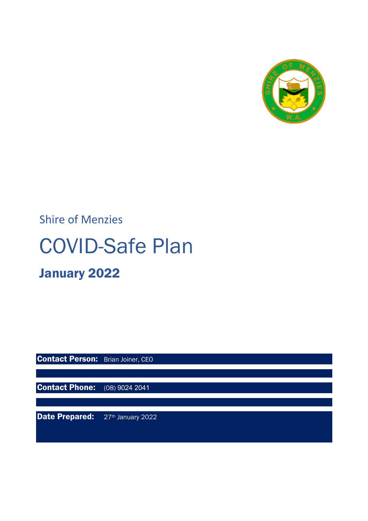

## Shire of Menzies

# COVID-Safe Plan

## January 2022

**Contact Person:** Brian Joiner, CEO

**Contact Phone:** (08) 9024 2041

Date Prepared: 27th January 2022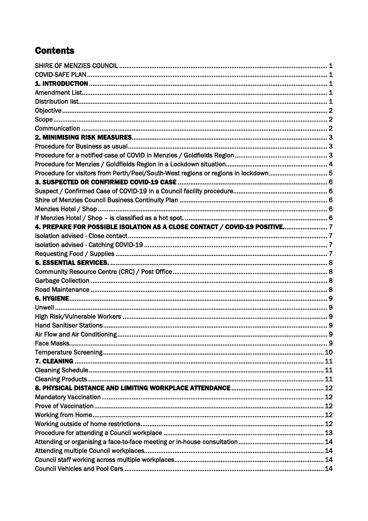## **Contents**

| Procedure for visitors from Perth/Peel/South-West regions or regions in lockdown 5 |  |
|------------------------------------------------------------------------------------|--|
|                                                                                    |  |
|                                                                                    |  |
|                                                                                    |  |
|                                                                                    |  |
|                                                                                    |  |
| 4. PREPARE FOR POSSIBLE ISOLATION AS A CLOSE CONTACT / COVID-19 POSITIVE7          |  |
|                                                                                    |  |
|                                                                                    |  |
|                                                                                    |  |
|                                                                                    |  |
|                                                                                    |  |
|                                                                                    |  |
|                                                                                    |  |
|                                                                                    |  |
|                                                                                    |  |
|                                                                                    |  |
|                                                                                    |  |
|                                                                                    |  |
|                                                                                    |  |
|                                                                                    |  |
|                                                                                    |  |
|                                                                                    |  |
|                                                                                    |  |
|                                                                                    |  |
|                                                                                    |  |
|                                                                                    |  |
|                                                                                    |  |
|                                                                                    |  |
|                                                                                    |  |
|                                                                                    |  |
|                                                                                    |  |
|                                                                                    |  |
|                                                                                    |  |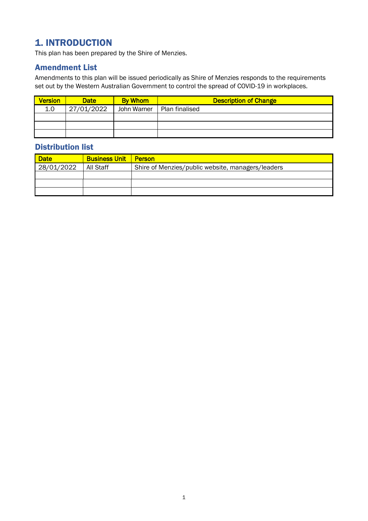## <span id="page-3-0"></span>1. INTRODUCTION

This plan has been prepared by the Shire of Menzies.

#### <span id="page-3-1"></span>Amendment List

Amendments to this plan will be issued periodically as Shire of Menzies responds to the requirements set out by the Western Australian Government to control the spread of COVID-19 in workplaces.

| <b>Version</b> | <b>Date</b> | <b>By Whom</b> | <b>Description of Change</b> |
|----------------|-------------|----------------|------------------------------|
| 1.0            | 27/01/2022  | John Warner    | Plan finalised               |
|                |             |                |                              |
|                |             |                |                              |
|                |             |                |                              |

## <span id="page-3-2"></span>Distribution list

| <b>Date</b> | <b>Business Unit Person</b> |                                                   |  |
|-------------|-----------------------------|---------------------------------------------------|--|
| 28/01/2022  | All Staff                   | Shire of Menzies/public website, managers/leaders |  |
|             |                             |                                                   |  |
|             |                             |                                                   |  |
|             |                             |                                                   |  |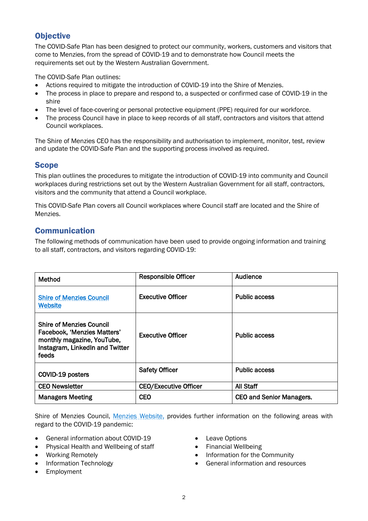## <span id="page-4-0"></span>**Objective**

The COVID-Safe Plan has been designed to protect our community, workers, customers and visitors that come to Menzies, from the spread of COVID-19 and to demonstrate how Council meets the requirements set out by the Western Australian Government.

The COVID-Safe Plan outlines:

- Actions required to mitigate the introduction of COVID-19 into the Shire of Menzies.
- The process in place to prepare and respond to, a suspected or confirmed case of COVID-19 in the shire
- The level of face-covering or personal protective equipment (PPE) required for our workforce.
- The process Council have in place to keep records of all staff, contractors and visitors that attend Council workplaces.

The Shire of Menzies CEO has the responsibility and authorisation to implement, monitor, test, review and update the COVID-Safe Plan and the supporting process involved as required.

## <span id="page-4-1"></span>Scope

This plan outlines the procedures to mitigate the introduction of COVID-19 into community and Council workplaces during restrictions set out by the Western Australian Government for all staff, contractors, visitors and the community that attend a Council workplace.

This COVID-Safe Plan covers all Council workplaces where Council staff are located and the Shire of Menzies.

## <span id="page-4-2"></span>Communication

The following methods of communication have been used to provide ongoing information and training to all staff, contractors, and visitors regarding COVID-19:

| Method                                                                                                                                   | <b>Responsible Officer</b>   | Audience                        |
|------------------------------------------------------------------------------------------------------------------------------------------|------------------------------|---------------------------------|
| <b>Shire of Menzies Council</b><br><b>Website</b>                                                                                        | <b>Executive Officer</b>     | <b>Public access</b>            |
| <b>Shire of Menzies Council</b><br>Facebook, 'Menzies Matters'<br>monthly magazine, YouTube,<br>Instagram, LinkedIn and Twitter<br>feeds | <b>Executive Officer</b>     | <b>Public access</b>            |
| COVID-19 posters                                                                                                                         | <b>Safety Officer</b>        | <b>Public access</b>            |
| <b>CEO Newsletter</b>                                                                                                                    | <b>CEO/Executive Officer</b> | All Staff                       |
| <b>Managers Meeting</b>                                                                                                                  | <b>CEO</b>                   | <b>CEO and Senior Managers.</b> |

Shire of Menzies Council, [Menzies Website,](https://www.menzies.wa.gov.au/) provides further information on the following areas with regard to the COVID-19 pandemic:

- General information about COVID-19
- Physical Health and Wellbeing of staff
- Working Remotely
- Information Technology
- Employment
- Leave Options
- Financial Wellbeing
- Information for the Community
- General information and resources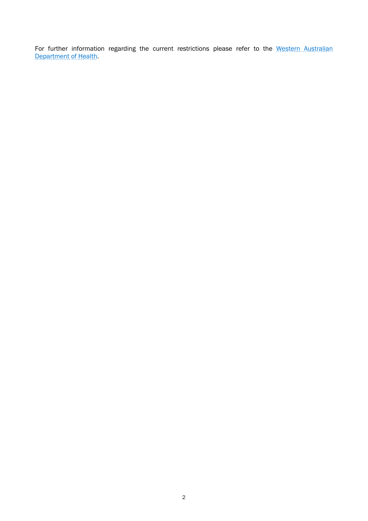For further information regarding the current restrictions please refer to the Western Australian [Department of Health.](https://ww2.health.wa.gov.au/)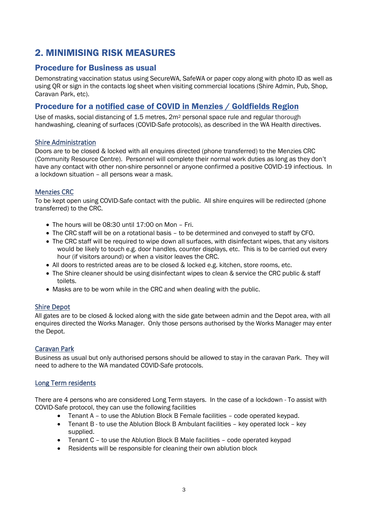## <span id="page-6-0"></span>2. MINIMISING RISK MEASURES

## <span id="page-6-1"></span>Procedure for Business as usual

Demonstrating vaccination status using SecureWA, SafeWA or paper copy along with photo ID as well as using QR or sign in the contacts log sheet when visiting commercial locations (Shire Admin, Pub, Shop, Caravan Park, etc).

#### <span id="page-6-2"></span>Procedure for a notified case of COVID in Menzies / Goldfields Region

Use of masks, social distancing of 1.5 metres, 2m2 personal space rule and regular thorough handwashing, cleaning of surfaces (COVID-Safe protocols), as described in the WA Health directives.

#### Shire Administration

Doors are to be closed & locked with all enquires directed (phone transferred) to the Menzies CRC (Community Resource Centre). Personnel will complete their normal work duties as long as they don't have any contact with other non-shire personnel or anyone confirmed a positive COVID-19 infectious. In a lockdown situation – all persons wear a mask.

#### Menzies CRC

To be kept open using COVID-Safe contact with the public. All shire enquires will be redirected (phone transferred) to the CRC.

- The hours will be 08:30 until 17:00 on Mon Fri.
- The CRC staff will be on a rotational basis to be determined and conveyed to staff by CFO.
- The CRC staff will be required to wipe down all surfaces, with disinfectant wipes, that any visitors would be likely to touch e.g. door handles, counter displays, etc. This is to be carried out every hour (if visitors around) or when a visitor leaves the CRC.
- All doors to restricted areas are to be closed & locked e.g. kitchen, store rooms, etc.
- The Shire cleaner should be using disinfectant wipes to clean & service the CRC public & staff toilets.
- Masks are to be worn while in the CRC and when dealing with the public.

#### Shire Depot

All gates are to be closed & locked along with the side gate between admin and the Depot area, with all enquires directed the Works Manager. Only those persons authorised by the Works Manager may enter the Depot.

#### Caravan Park

Business as usual but only authorised persons should be allowed to stay in the caravan Park. They will need to adhere to the WA mandated COVID-Safe protocols.

#### Long Term residents

There are 4 persons who are considered Long Term stayers. In the case of a lockdown - To assist with COVID-Safe protocol, they can use the following facilities

- Tenant A to use the Ablution Block B Female facilities code operated keypad.
- Tenant B to use the Ablution Block B Ambulant facilities key operated lock key supplied.
- Tenant C to use the Ablution Block B Male facilities code operated keypad
- Residents will be responsible for cleaning their own ablution block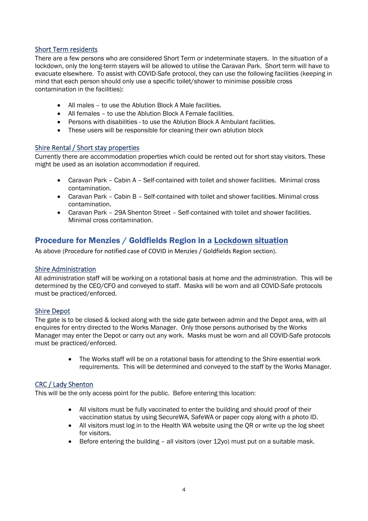#### Short Term residents

There are a few persons who are considered Short Term or indeterminate stayers. In the situation of a lockdown, only the long-term stayers will be allowed to utilise the Caravan Park. Short term will have to evacuate elsewhere. To assist with COVID-Safe protocol, they can use the following facilities (keeping in mind that each person should only use a specific toilet/shower to minimise possible cross contamination in the facilities):

- All males to use the Ablution Block A Male facilities.
- All females to use the Ablution Block A Female facilities.
- Persons with disabilities to use the Ablution Block A Ambulant facilities.
- These users will be responsible for cleaning their own ablution block

#### Shire Rental / Short stay properties

Currently there are accommodation properties which could be rented out for short stay visitors. These might be used as an isolation accommodation if required.

- Caravan Park Cabin A Self-contained with toilet and shower facilities. Minimal cross contamination.
- Caravan Park Cabin B Self-contained with toilet and shower facilities. Minimal cross contamination.
- Caravan Park 29A Shenton Street Self-contained with toilet and shower facilities. Minimal cross contamination.

## <span id="page-7-0"></span>Procedure for Menzies / Goldfields Region in a Lockdown situation

As above (Procedure for notified case of COVID in Menzies / Goldfields Region section).

#### Shire Administration

All administration staff will be working on a rotational basis at home and the administration. This will be determined by the CEO/CFO and conveyed to staff. Masks will be worn and all COVID-Safe protocols must be practiced/enforced.

#### Shire Depot

The gate is to be closed & locked along with the side gate between admin and the Depot area, with all enquires for entry directed to the Works Manager. Only those persons authorised by the Works Manager may enter the Depot or carry out any work. Masks must be worn and all COVID-Safe protocols must be practiced/enforced.

> • The Works staff will be on a rotational basis for attending to the Shire essential work requirements. This will be determined and conveyed to the staff by the Works Manager.

#### CRC / Lady Shenton

This will be the only access point for the public. Before entering this location:

- All visitors must be fully vaccinated to enter the building and should proof of their vaccination status by using SecureWA, SafeWA or paper copy along with a photo ID.
- All visitors must log in to the Health WA website using the OR or write up the log sheet for visitors.
- Before entering the building all visitors (over 12yo) must put on a suitable mask.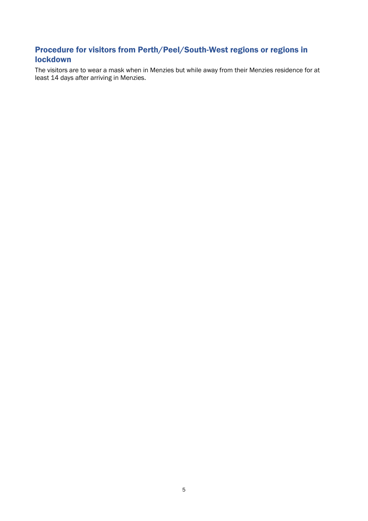## <span id="page-8-0"></span>Procedure for visitors from Perth/Peel/South-West regions or regions in lockdown

The visitors are to wear a mask when in Menzies but while away from their Menzies residence for at least 14 days after arriving in Menzies.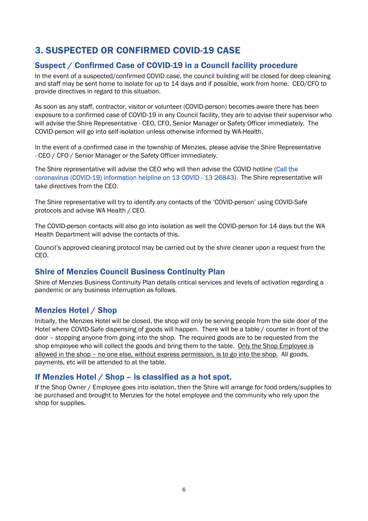## <span id="page-9-0"></span>3. SUSPECTED OR CONFIRMED COVID-19 CASE

## <span id="page-9-1"></span>Suspect / Confirmed Case of COVID-19 in a Council facility procedure

In the event of a suspected/confirmed COVID case, the council building will be closed for deep cleaning and staff may be sent home to isolate for up to 14 days and if possible, work from home. CEO/CFO to provide directives in regard to this situation.

As soon as any staff, contractor, visitor or volunteer (COVID-person) becomes aware there has been exposure to a confirmed case of COVID-19 in any Council facility, they are to advise their supervisor who will advise the Shire Representative - CEO, CFO, Senior Manager or Safety Officer immediately. The COVID-person will go into self-isolation unless otherwise informed by WA-Health.

In the event of a confirmed case in the township of Menzies, please advise the Shire Representative - CEO / CFO / Senior Manager or the Safety Officer immediately.

The Shire representative will advise the CEO who will then advise the COVID hotline (Call the coronavirus (COVID-19) information helpline on 13 COVID - 13 26843). The Shire representative will take directives from the CEO.

The Shire representative will try to identify any contacts of the 'COVID-person' using COVID-Safe protocols and advise WA Health / CEO.

The COVID-person contacts will also go into isolation as well the COVID-person for 14 days but the WA Health Department will advise the contacts of this.

Council's approved cleaning protocol may be carried out by the shire cleaner upon a request from the CEO.

#### <span id="page-9-2"></span>Shire of Menzies Council Business Continuity Plan

Shire of Menzies Business Continuity Plan details critical services and levels of activation regarding a pandemic or any business interruption as follows.

#### <span id="page-9-3"></span>Menzies Hotel / Shop

Initially, the Menzies Hotel will be closed, the shop will only be serving people from the side door of the Hotel where COVID-Safe dispensing of goods will happen. There will be a table / counter in front of the door – stopping anyone from going into the shop. The required goods are to be requested from the shop employee who will collect the goods and bring them to the table. Only the Shop Employee is allowed in the shop – no one else, without express permission, is to go into the shop. All goods, payments, etc will be attended to at the table.

#### <span id="page-9-4"></span>If Menzies Hotel / Shop – is classified as a hot spot.

If the Shop Owner / Employee goes into isolation, then the Shire will arrange for food orders/supplies to be purchased and brought to Menzies for the hotel employee and the community who rely upon the shop for supplies.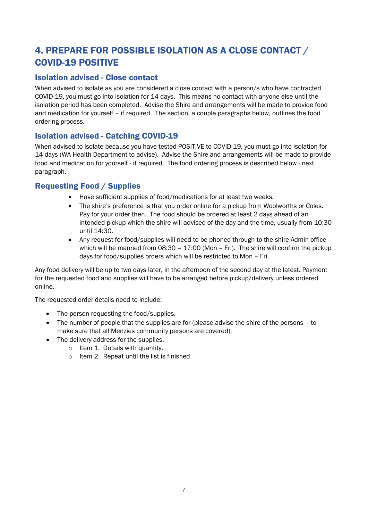## <span id="page-10-0"></span>4. PREPARE FOR POSSIBLE ISOLATION AS A CLOSE CONTACT / COVID-19 POSITIVE

## <span id="page-10-1"></span>Isolation advised - Close contact

When advised to isolate as you are considered a close contact with a person/s who have contracted COVID-19, you must go into isolation for 14 days. This means no contact with anyone else until the isolation period has been completed. Advise the Shire and arrangements will be made to provide food and medication for yourself – if required. The section, a couple paragraphs below, outlines the food ordering process.

## <span id="page-10-2"></span>Isolation advised - Catching COVID-19

When advised to isolate because you have tested POSITIVE to COVID-19, you must go into isolation for 14 days (WA Health Department to advise). Advise the Shire and arrangements will be made to provide food and medication for yourself - if required. The food ordering process is described below - next paragraph.

## <span id="page-10-3"></span>Requesting Food / Supplies

- Have sufficient supplies of food/medications for at least two weeks.
- The shire's preference is that you order online for a pickup from Woolworths or Coles. Pay for your order then. The food should be ordered at least 2 days ahead of an intended pickup which the shire will advised of the day and the time, usually from 10:30 until 14:30.
- Any request for food/supplies will need to be phoned through to the shire Admin office which will be manned from 08:30 - 17:00 (Mon - Fri). The shire will confirm the pickup days for food/supplies orders which will be restricted to Mon – Fri.

Any food delivery will be up to two days later, in the afternoon of the second day at the latest. Payment for the requested food and supplies will have to be arranged before pickup/delivery unless ordered online.

The requested order details need to include:

- The person requesting the food/supplies.
- The number of people that the supplies are for (please advise the shire of the persons to make sure that all Menzies community persons are covered).
- The delivery address for the supplies.
	- o Item 1. Details with quantity.
	- o Item 2. Repeat until the list is finished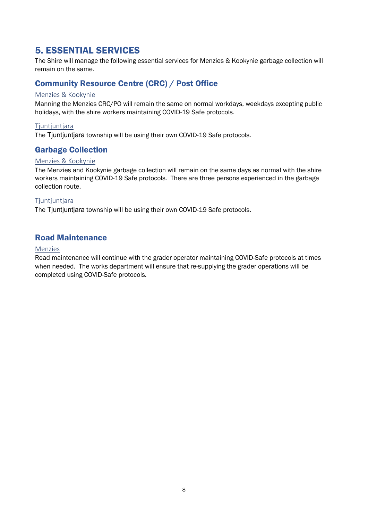## <span id="page-11-0"></span>5. ESSENTIAL SERVICES

The Shire will manage the following essential services for Menzies & Kookynie garbage collection will remain on the same.

## <span id="page-11-1"></span>Community Resource Centre (CRC) / Post Office

#### Menzies & Kookynie

Manning the Menzies CRC/PO will remain the same on normal workdays, weekdays excepting public holidays, with the shire workers maintaining COVID-19 Safe protocols.

#### Tjuntjuntjara

The Tjuntjuntjara township will be using their own COVID-19 Safe protocols.

## <span id="page-11-2"></span>Garbage Collection

#### Menzies & Kookynie

The Menzies and Kookynie garbage collection will remain on the same days as normal with the shire workers maintaining COVID-19 Safe protocols. There are three persons experienced in the garbage collection route.

#### **Tjuntjuntjara**

The Tiuntiuntiara township will be using their own COVID-19 Safe protocols.

## <span id="page-11-3"></span>Road Maintenance

#### Menzies

Road maintenance will continue with the grader operator maintaining COVID-Safe protocols at times when needed. The works department will ensure that re-supplying the grader operations will be completed using COVID-Safe protocols.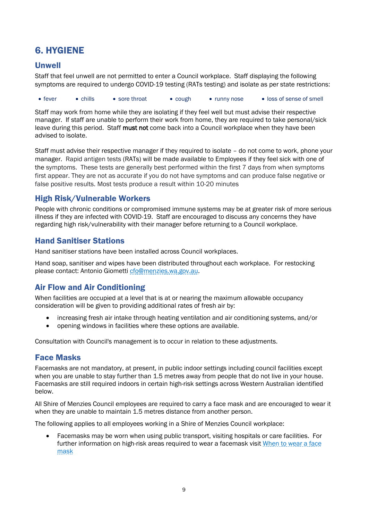## <span id="page-12-0"></span>6. HYGIENE

## <span id="page-12-1"></span>Unwell

Staff that feel unwell are not permitted to enter a Council workplace. Staff displaying the following symptoms are required to undergo COVID-19 testing (RATs testing) and isolate as per state restrictions:

• fever • chills • sore throat • cough • runny nose • loss of sense of smell

Staff may work from home while they are isolating if they feel well but must advise their respective manager. If staff are unable to perform their work from home, they are required to take personal/sick leave during this period. Staff must not come back into a Council workplace when they have been advised to isolate.

Staff must advise their respective manager if they required to isolate – do not come to work, phone your manager. Rapid antigen tests (RATs) will be made available to Employees if they feel sick with one of the symptoms. These tests are generally best performed within the first 7 days from when symptoms first appear. They are not as accurate if you do not have symptoms and can produce false negative or false positive results. Most tests produce a result within 10-20 minutes

## <span id="page-12-2"></span>High Risk/Vulnerable Workers

People with chronic conditions or compromised immune systems may be at greater risk of more serious illness if they are infected with COVID-19. Staff are encouraged to discuss any concerns they have regarding high risk/vulnerability with their manager before returning to a Council workplace.

## <span id="page-12-3"></span>Hand Sanitiser Stations

Hand sanitiser stations have been installed across Council workplaces.

Hand soap, sanitiser and wipes have been distributed throughout each workplace. For restocking please contact: Antonio Giometti [cfo@menzies.wa.gov.au.](mailto:cfo@menzies.wa.gov.au)

## <span id="page-12-4"></span>Air Flow and Air Conditioning

When facilities are occupied at a level that is at or nearing the maximum allowable occupancy consideration will be given to providing additional rates of fresh air by:

- increasing fresh air intake through heating ventilation and air conditioning systems, and/or
- opening windows in facilities where these options are available.

Consultation with Council's management is to occur in relation to these adjustments.

## <span id="page-12-6"></span><span id="page-12-5"></span>Face Masks

Facemasks are not mandatory, at present, in public indoor settings including council facilities except when you are unable to stay further than 1.5 metres away from people that do not live in your house. Facemasks are still required indoors in certain high-risk settings across Western Australian identified below.

All Shire of Menzies Council employees are required to carry a face mask and are encouraged to wear it when they are unable to maintain 1.5 metres distance from another person.

The following applies to all employees working in a Shire of Menzies Council workplace:

• Facemasks may be worn when using public transport, visiting hospitals or care facilities. For further information on high-risk areas required to wear a facemask visit [When to wear a face](https://www.healthywa.wa.gov.au/Articles/A_E/Coronavirus/Face-masks)  [mask](https://www.healthywa.wa.gov.au/Articles/A_E/Coronavirus/Face-masks)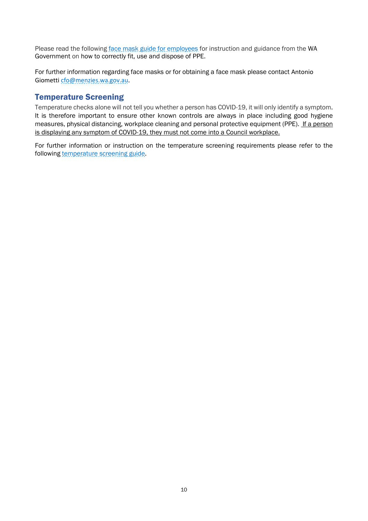Please read the following [face mask guide for employees](https://www.healthywa.wa.gov.au/Articles/A_E/Coronavirus/Face-masks#:%7E:text=Wearing%20a%20face%20mask%20is,subject%20to%20a%20quarantine%20direction.&text=Scarves%20and%20bandanas%20are%20not,under%2012%20years%20of%20age.) for instruction and guidance from the WA Government on how to correctly fit, use and dispose of PPE.

For further information regarding face masks or for obtaining a face mask please contact Antonio Giomett[i cfo@menzies.wa.gov.au](mailto:cfo@menzies.wa.gov.au).

#### <span id="page-13-0"></span>Temperature Screening

Temperature checks alone will not tell you whether a person has COVID-19, it will only identify a symptom. It is therefore important to ensure other known controls are always in place including good hygiene measures, physical distancing, workplace cleaning and personal protective equipment (PPE). If a person is displaying any symptom of COVID-19, they must not come into a Council workplace.

For further information or instruction on the temperature screening requirements please refer to the following [temperature screening guide.](https://www.healthdirect.gov.au/fever)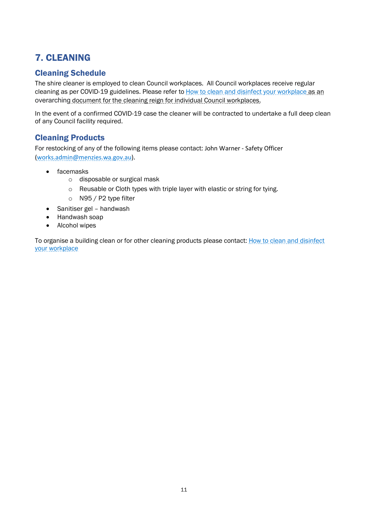## <span id="page-14-0"></span>7. CLEANING

## <span id="page-14-1"></span>Cleaning Schedule

The shire cleaner is employed to clean Council workplaces. All Council workplaces receive regular cleaning as per COVID-19 guidelines. Please refer to [How to clean and disinfect your workplace](https://covid19.swa.gov.au/doc/how-clean-and-disinfect-your-workplace-covid-19) as an overarching document for the cleaning reign for individual Council workplaces.

In the event of a confirmed COVID-19 case the cleaner will be contracted to undertake a full deep clean of any Council facility required.

## <span id="page-14-2"></span>Cleaning Products

For restocking of any of the following items please contact: John Warner - Safety Officer [\(works.admin@menzies.wa.gov.au\)](mailto:works.admin@menzies.wa.gov.au).

- facemasks
	- o disposable or surgical mask
	- o Reusable or Cloth types with triple layer with elastic or string for tying.
	- o N95 / P2 type filter
- Sanitiser gel handwash
- Handwash soap
- Alcohol wipes

To organise a building clean or for other cleaning products please contact: How to clean and disinfect [your workplace](https://covid19.swa.gov.au/doc/how-clean-and-disinfect-your-workplace-covid-19)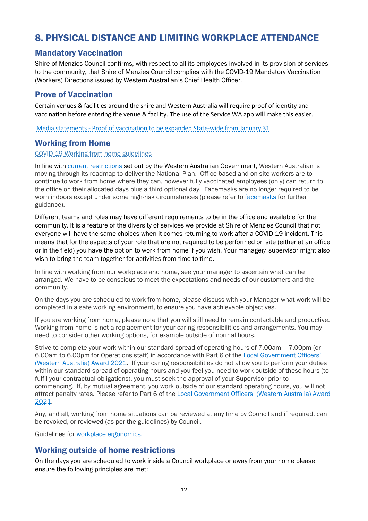## <span id="page-15-0"></span>8. PHYSICAL DISTANCE AND LIMITING WORKPLACE ATTENDANCE

## <span id="page-15-1"></span>Mandatory Vaccination

Shire of Menzies Council confirms, with respect to all its employees involved in its provision of services to the community, that Shire of Menzies Council complies with the COVID-19 Mandatory Vaccination (Workers) Directions issued by Western Australian's Chief Health Officer.

## <span id="page-15-2"></span>Prove of Vaccination

Certain venues & facilities around the shire and Western Australia will require proof of identity and vaccination before entering the venue & facility. The use of the Service WA app will make this easier.

Media statements - [Proof of vaccination to be expanded State-wide from January 31](https://www.mediastatements.wa.gov.au/Pages/McGowan/2022/01/Proof-of-vaccination-to-be-expanded-State-wide-from-January-31.aspx)

## <span id="page-15-3"></span>Working from Home

#### [COVID-19 Working from home](https://www.wa.gov.au/government/publications/working-remotely) guidelines

In line with [current restrictions](https://www.wa.gov.au/government/covid-19-coronavirus/covid-19-coronavirus-what-you-can-and-cant-do) set out by the Western Australian Government, Western Australian is moving through its roadmap to deliver the National Plan. Office based and on-site workers are to continue to work from home where they can, however fully vaccinated employees (only) can return to the office on their allocated days plus a third optional day. Facemasks are no longer required to be worn indoors except under some high-risk circumstances (please refer to [facemasks](#page-12-6) for further guidance).

Different teams and roles may have different requirements to be in the office and available for the community. It is a feature of the diversity of services we provide at Shire of Menzies Council that not everyone will have the same choices when it comes returning to work after a COVID-19 incident. This means that for the aspects of your role that are not required to be performed on site (either at an office or in the field) you have the option to work from home if you wish. Your manager/ supervisor might also wish to bring the team together for activities from time to time.

In line with working from our workplace and home, see your manager to ascertain what can be arranged. We have to be conscious to meet the expectations and needs of our customers and the community.

On the days you are scheduled to work from home, please discuss with your Manager what work will be completed in a safe working environment, to ensure you have achievable objectives.

If you are working from home, please note that you will still need to remain contactable and productive. Working from home is not a replacement for your caring responsibilities and arrangements. You may need to consider other working options, for example outside of normal hours.

Strive to complete your work within our standard spread of operating hours of 7.00am – 7.00pm (or 6.00am to 6.00pm for Operations staff) in accordance with Part 6 of the Local Government Officers' [\(Western Australia\) Award 2021.](https://downloads.wairc.wa.gov.au/awards/LOC002/p2/LOC002.pdf) If your caring responsibilities do not allow you to perform your duties within our standard spread of operating hours and you feel you need to work outside of these hours (to fulfil your contractual obligations), you must seek the approval of your Supervisor prior to commencing. If, by mutual agreement, you work outside of our standard operating hours, you will not attract penalty rates. Please refer to Part 6 of the [Local Government Officers' \(Western Australia\) Award](https://downloads.wairc.wa.gov.au/awards/LOC002/p2/LOC002.pdf)  [2021.](https://downloads.wairc.wa.gov.au/awards/LOC002/p2/LOC002.pdf)

Any, and all, working from home situations can be reviewed at any time by Council and if required, can be revoked, or reviewed (as per the guidelines) by Council.

Guidelines for [workplace ergonomics.](https://www.commerce.wa.gov.au/worksafe/toolkit-and-information-resources-0)

## <span id="page-15-4"></span>Working outside of home restrictions

On the days you are scheduled to work inside a Council workplace or away from your home please ensure the following principles are met: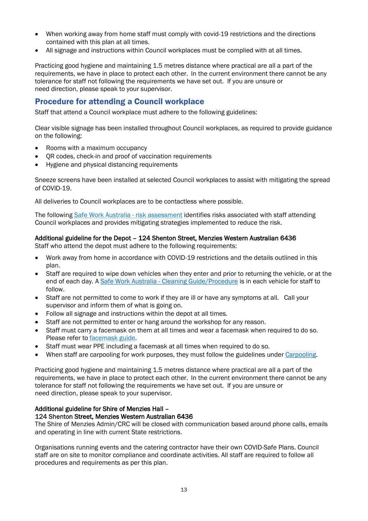- When working away from home staff must comply with covid-19 restrictions and the directions contained with this plan at all times.
- All signage and instructions within Council workplaces must be complied with at all times.

Practicing good hygiene and maintaining 1.5 metres distance where practical are all a part of the requirements, we have in place to protect each other. In the current environment there cannot be any tolerance for staff not following the requirements we have set out. If you are unsure or need direction, please speak to your supervisor.

## <span id="page-16-0"></span>Procedure for attending a Council workplace

Staff that attend a Council workplace must adhere to the following guidelines:

Clear visible signage has been installed throughout Council workplaces, as required to provide guidance on the following:

- Rooms with a maximum occupancy
- QR codes, check-in and proof of vaccination requirements
- Hygiene and physical distancing requirements

Sneeze screens have been installed at selected Council workplaces to assist with mitigating the spread of COVID-19.

All deliveries to Council workplaces are to be contactless where possible.

The following [Safe Work Australia -](https://covid19.swa.gov.au/doc/key-considerations-undertaking-risk-assessment-covid-19) risk assessment identifies risks associated with staff attending Council workplaces and provides mitigating strategies implemented to reduce the risk.

#### Additional guideline for the Depot – 124 Shenton Street, Menzies Western Australian 6436

Staff who attend the depot must adhere to the following requirements:

- Work away from home in accordance with COVID-19 restrictions and the details outlined in this plan.
- Staff are required to wipe down vehicles when they enter and prior to returning the vehicle, or at the end of each day. A Safe Work Australia - [Cleaning Guide/Procedure](https://covid19.swa.gov.au/doc/how-clean-and-disinfect-your-workplace-covid-19) is in each vehicle for staff to follow.
- Staff are not permitted to come to work if they are ill or have any symptoms at all. Call your supervisor and inform them of what is going on.
- Follow all signage and instructions within the depot at all times.
- Staff are not permitted to enter or hang around the workshop for any reason.
- Staff must carry a facemask on them at all times and wear a facemask when required to do so. Please refer to [facemask guide.](#page-12-6)
- Staff must wear PPE including a facemask at all times when required to do so.
- When staff are carpooling for work purposes, they must follow the guidelines unde[r Carpooling.](https://cardiniavicgovau-my.sharepoint.com/personal/h_cork_cardinia_vic_gov_au/Documents/Desktop/EDRMS%20Transfer/COVID%20Safe%20Plan%20Cardinia%20Shire%20Council%20-%2013%20May%202021.docx#_Carpooling)

Practicing good hygiene and maintaining 1.5 metres distance where practical are all a part of the requirements, we have in place to protect each other. In the current environment there cannot be any tolerance for staff not following the requirements we have set out. If you are unsure or need direction, please speak to your supervisor.

#### Additional guideline for Shire of Menzies Hall – 124 Shenton Street, Menzies Western Australian 6436

The Shire of Menzies Admin/CRC will be closed with communication based around phone calls, emails and operating in line with current State restrictions.

Organisations running events and the catering contractor have their own COVID-Safe Plans. Council staff are on site to monitor compliance and coordinate activities. All staff are required to follow all procedures and requirements as per this plan.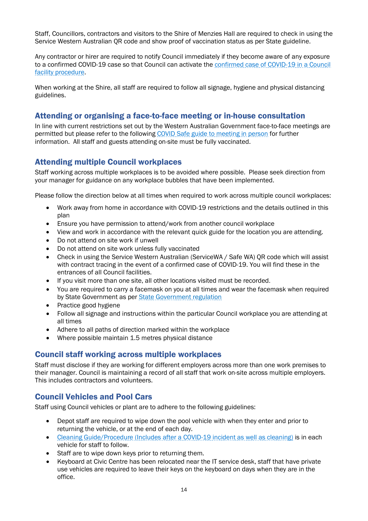Staff, Councillors, contractors and visitors to the Shire of Menzies Hall are required to check in using the Service Western Australian QR code and show proof of vaccination status as per State guideline.

Any contractor or hirer are required to notify Council immediately if they become aware of any exposure to a confirmed COVID-19 case so that Council can activate the [confirmed case of COVID-19 in a Council](https://cardiniavicgovau.sharepoint.com/:w:/r/sites/RISKMANAGEMENT/Planning/Business%20Continuity%20Planning%20COVID-19%20Pandemic/Confirmed%20Case%20of%20COVID-19%20in%20a%20Council%20facility%20Procedure.docx?d=w34f8f1cd8ee84bc9b52f2682f48f6cb3&csf=1&web=1&e=NJLoj1)  facility [procedure.](https://cardiniavicgovau.sharepoint.com/:w:/r/sites/RISKMANAGEMENT/Planning/Business%20Continuity%20Planning%20COVID-19%20Pandemic/Confirmed%20Case%20of%20COVID-19%20in%20a%20Council%20facility%20Procedure.docx?d=w34f8f1cd8ee84bc9b52f2682f48f6cb3&csf=1&web=1&e=NJLoj1)

When working at the Shire, all staff are required to follow all signage, hygiene and physical distancing guidelines.

## <span id="page-17-0"></span>Attending or organising a face-to-face meeting or in-house consultation

In line with [current restrictions](https://www.dhhs.vic.gov.au/coronavirus) set out by the Western Australian Government face-to-face meetings are permitted but please refer to the following COVID Safe [guide to meeting in person](https://cardiniavicgovau.sharepoint.com/:w:/r/sites/RISKMANAGEMENT/Planning/Business%20Continuity%20Planning%20COVID-19%20Pandemic/A%20COVIDSafe%20guide%20to%20meeting%20in%20person%20V4.docx?d=w831655347912442c825a6706f1c38179&csf=1&web=1&e=kmEOih) for further information. All staff and guests attending on-site must be fully vaccinated.

## <span id="page-17-1"></span>Attending multiple Council workplaces

Staff working across multiple workplaces is to be avoided where possible. Please seek direction from your manager for guidance on any workplace bubbles that have been implemented.

Please follow the direction below at all times when required to work across multiple council workplaces:

- Work away from home in accordance with COVID-19 restrictions and the details outlined in this plan
- Ensure you have permission to attend/work from another council workplace
- View and work in accordance with the relevant quick guide for the location you are attending.
- Do not attend on site work if unwell
- Do not attend on site work unless fully vaccinated
- Check in using the Service Western Australian (ServiceWA / Safe WA) QR code which will assist with contract tracing in the event of a confirmed case of COVID-19. You will find these in the entrances of all Council facilities.
- If you visit more than one site, all other locations visited must be recorded.
- You are required to carry a facemask on you at all times and wear the facemask when required by State Government as per [State Government regulation](https://www.healthywa.wa.gov.au/Articles/A_E/Coronavirus)
- Practice good hygiene
- Follow all signage and instructions within the particular Council workplace you are attending at all times
- Adhere to all paths of direction marked within the workplace
- Where possible maintain 1.5 metres physical distance

#### <span id="page-17-2"></span>Council staff working across multiple workplaces

Staff must disclose if they are working for different employers across more than one work premises to their manager. Council is maintaining a record of all staff that work on-site across multiple employers. This includes contractors and volunteers.

## <span id="page-17-3"></span>Council Vehicles and Pool Cars

Staff using Council vehicles or plant are to adhere to the following guidelines:

- Depot staff are required to wipe down the pool vehicle with when they enter and prior to returning the vehicle, or at the end of each day.
- [Cleaning Guide/Procedure \(Includes after a COVID-19 incident as well as cleaning\)](https://ww2.health.wa.gov.au/%7E/media/Corp/Documents/Health-for/Infectious-disease/COVID19/COVID19-vehicle-cleaning.pdf) is in each vehicle for staff to follow.
- Staff are to wipe down keys prior to returning them.
- Keyboard at Civic Centre has been relocated near the IT service desk, staff that have private use vehicles are required to leave their keys on the keyboard on days when they are in the office.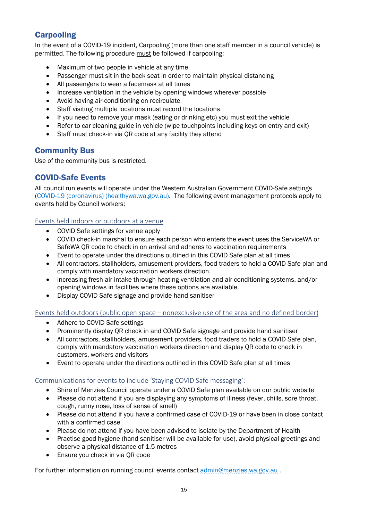## <span id="page-18-0"></span>**Carpooling**

In the event of a COVID-19 incident, Carpooling (more than one staff member in a council vehicle) is permitted. The following procedure must be followed if carpooling:

- Maximum of two people in vehicle at any time
- Passenger must sit in the back seat in order to maintain physical distancing
- All passengers to wear a facemask at all times
- Increase ventilation in the vehicle by opening windows wherever possible
- Avoid having air-conditioning on recirculate
- Staff visiting multiple locations must record the locations
- If you need to remove your mask (eating or drinking etc) you must exit the vehicle
- Refer to car cleaning guide in vehicle (wipe touchpoints including keys on entry and exit)
- Staff must check-in via QR code at any facility they attend

## <span id="page-18-1"></span>Community Bus

Use of the community bus is restricted.

## <span id="page-18-2"></span>COVID-Safe Events

All council run events will operate under the Western Australian Government COVID-Safe settings [\(COVID-19 \(coronavirus\) \(healthywa.wa.gov.au\).](https://www.healthywa.wa.gov.au/Articles/A_E/Coronavirus) The following event management protocols apply to events held by Council workers:

#### Events held indoors or outdoors at a venue

- COVID Safe settings for venue apply
- COVID check-in marshal to ensure each person who enters the event uses the ServiceWA or SafeWA QR code to check in on arrival and adheres to vaccination requirements
- Event to operate under the directions outlined in this COVID Safe plan at all times
- All contractors, stallholders, amusement providers, food traders to hold a COVID Safe plan and comply with mandatory vaccination workers direction.
- increasing fresh air intake through heating ventilation and air conditioning systems, and/or opening windows in facilities where these options are available.
- Display COVID Safe signage and provide hand sanitiser

Events held outdoors (public open space – nonexclusive use of the area and no defined border)

- Adhere to COVID Safe settings
- Prominently display OR check in and COVID Safe signage and provide hand sanitiser
- All contractors, stallholders, amusement providers, food traders to hold a COVID Safe plan, comply with mandatory vaccination workers direction and display QR code to check in customers, workers and visitors
- Event to operate under the directions outlined in this COVID Safe plan at all times

#### Communications for events to include 'Staying COVID Safe messaging':

- Shire of Menzies Council operate under a COVID Safe plan available on our public website
- Please do not attend if you are displaying any symptoms of illness (fever, chills, sore throat, cough, runny nose, loss of sense of smell)
- Please do not attend if you have a confirmed case of COVID-19 or have been in close contact with a confirmed case
- Please do not attend if you have been advised to isolate by the Department of Health
- Practise good hygiene (hand sanitiser will be available for use), avoid physical greetings and observe a physical distance of 1.5 metres
- Ensure you check in via OR code

For further information on running council events contact [admin@menzies.wa.gov.au](mailto:admin@menzies.wa.gov.au) .